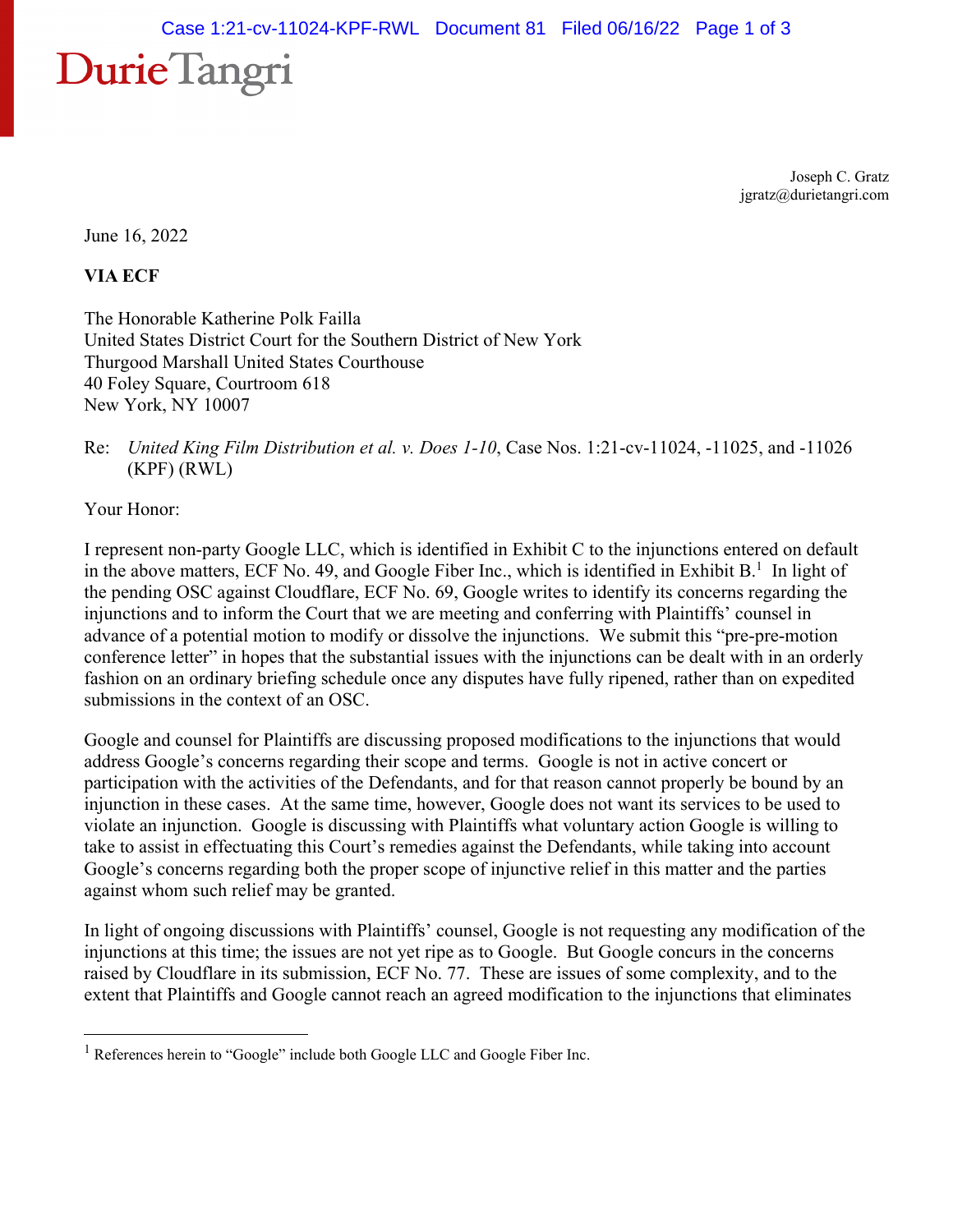## Durie Tangri

Joseph C. Gratz jgratz@durietangri.com

June 16, 2022

**VIA ECF** 

The Honorable Katherine Polk Failla United States District Court for the Southern District of New York Thurgood Marshall United States Courthouse 40 Foley Square, Courtroom 618 New York, NY 10007

Your Honor:

I represent non-party Google LLC, which is identified in Exhibit C to the injunctions entered on default in the above matters, ECF No. 49, and Google Fiber Inc., which is identified in Exhibit B.<sup>1</sup> In light of the pending OSC against Cloudflare, ECF No. 69, Google writes to identify its concerns regarding the injunctions and to inform the Court that we are meeting and conferring with Plaintiffs' counsel in advance of a potential motion to modify or dissolve the injunctions. We submit this "pre-pre-motion conference letter" in hopes that the substantial issues with the injunctions can be dealt with in an orderly fashion on an ordinary briefing schedule once any disputes have fully ripened, rather than on expedited submissions in the context of an OSC.

Google and counsel for Plaintiffs are discussing proposed modifications to the injunctions that would address Google's concerns regarding their scope and terms. Google is not in active concert or participation with the activities of the Defendants, and for that reason cannot properly be bound by an injunction in these cases. At the same time, however, Google does not want its services to be used to violate an injunction. Google is discussing with Plaintiffs what voluntary action Google is willing to take to assist in effectuating this Court's remedies against the Defendants, while taking into account Google's concerns regarding both the proper scope of injunctive relief in this matter and the parties against whom such relief may be granted.

In light of ongoing discussions with Plaintiffs' counsel, Google is not requesting any modification of the injunctions at this time; the issues are not yet ripe as to Google. But Google concurs in the concerns raised by Cloudflare in its submission, ECF No. 77. These are issues of some complexity, and to the extent that Plaintiffs and Google cannot reach an agreed modification to the injunctions that eliminates

Re: *United King Film Distribution et al. v. Does 1-10*, Case Nos. 1:21-cv-11024, -11025, and -11026 (KPF) (RWL)

<sup>&</sup>lt;sup>1</sup> References herein to "Google" include both Google LLC and Google Fiber Inc.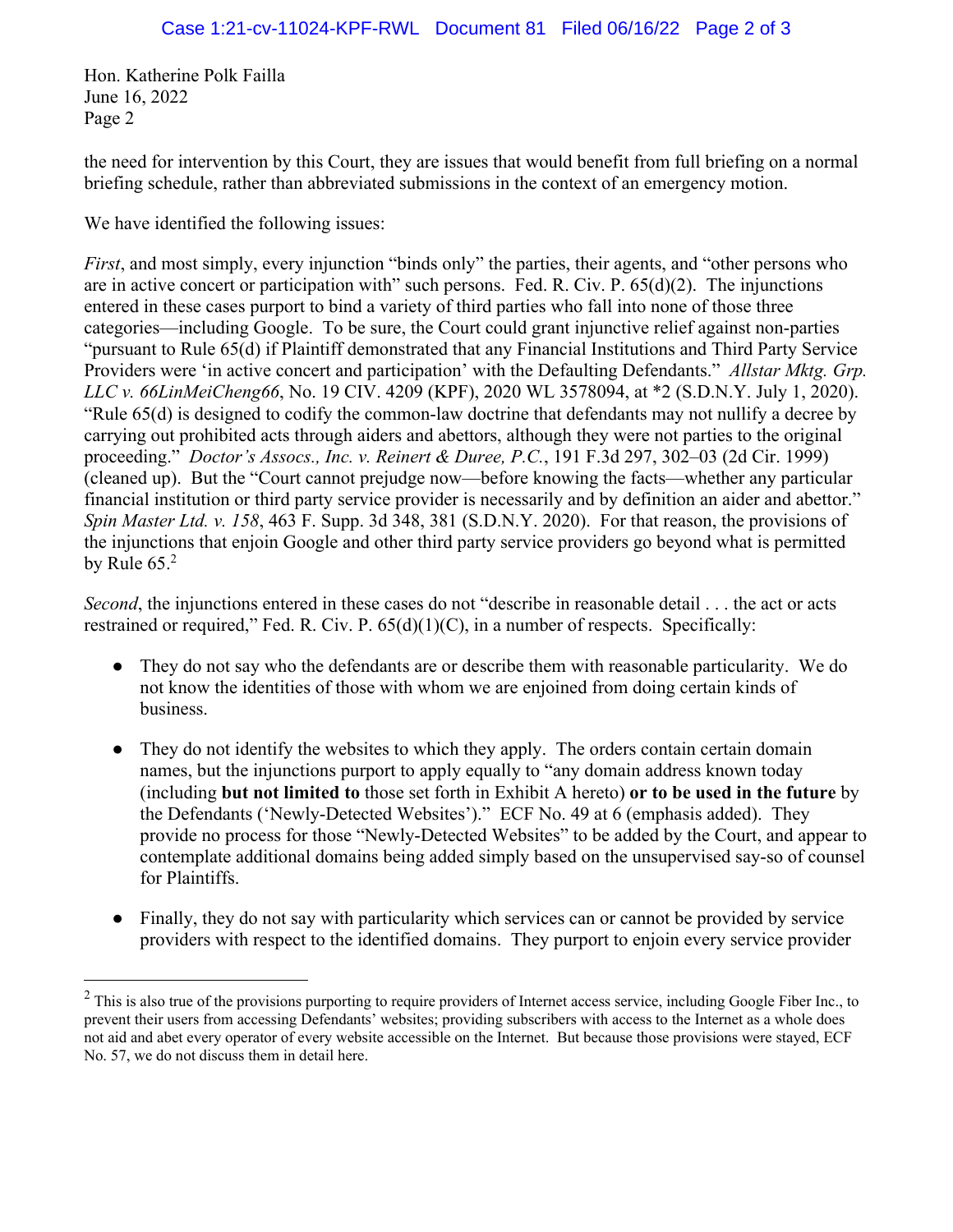Hon. Katherine Polk Failla June 16, 2022 Page 2

the need for intervention by this Court, they are issues that would benefit from full briefing on a normal briefing schedule, rather than abbreviated submissions in the context of an emergency motion.

We have identified the following issues:

*First*, and most simply, every injunction "binds only" the parties, their agents, and "other persons who are in active concert or participation with" such persons. Fed. R. Civ. P. 65(d)(2). The injunctions entered in these cases purport to bind a variety of third parties who fall into none of those three categories—including Google. To be sure, the Court could grant injunctive relief against non-parties "pursuant to Rule 65(d) if Plaintiff demonstrated that any Financial Institutions and Third Party Service Providers were 'in active concert and participation' with the Defaulting Defendants." *Allstar Mktg. Grp. LLC v. 66LinMeiCheng66*, No. 19 CIV. 4209 (KPF), 2020 WL 3578094, at \*2 (S.D.N.Y. July 1, 2020). "Rule 65(d) is designed to codify the common-law doctrine that defendants may not nullify a decree by carrying out prohibited acts through aiders and abettors, although they were not parties to the original proceeding." *Doctor's Assocs., Inc. v. Reinert & Duree, P.C.*, 191 F.3d 297, 302–03 (2d Cir. 1999) (cleaned up). But the "Court cannot prejudge now—before knowing the facts—whether any particular financial institution or third party service provider is necessarily and by definition an aider and abettor." *Spin Master Ltd. v. 158*, 463 F. Supp. 3d 348, 381 (S.D.N.Y. 2020). For that reason, the provisions of the injunctions that enjoin Google and other third party service providers go beyond what is permitted by Rule  $65.<sup>2</sup>$ 

*Second*, the injunctions entered in these cases do not "describe in reasonable detail . . . the act or acts restrained or required," Fed. R. Civ. P. 65(d)(1)(C), in a number of respects. Specifically:

- They do not say who the defendants are or describe them with reasonable particularity. We do not know the identities of those with whom we are enjoined from doing certain kinds of business.
- They do not identify the websites to which they apply. The orders contain certain domain names, but the injunctions purport to apply equally to "any domain address known today (including **but not limited to** those set forth in Exhibit A hereto) **or to be used in the future** by the Defendants ('Newly-Detected Websites')." ECF No. 49 at 6 (emphasis added). They provide no process for those "Newly-Detected Websites" to be added by the Court, and appear to contemplate additional domains being added simply based on the unsupervised say-so of counsel for Plaintiffs.
- Finally, they do not say with particularity which services can or cannot be provided by service providers with respect to the identified domains. They purport to enjoin every service provider

 $2$  This is also true of the provisions purporting to require providers of Internet access service, including Google Fiber Inc., to prevent their users from accessing Defendants' websites; providing subscribers with access to the Internet as a whole does not aid and abet every operator of every website accessible on the Internet. But because those provisions were stayed, ECF No. 57, we do not discuss them in detail here.